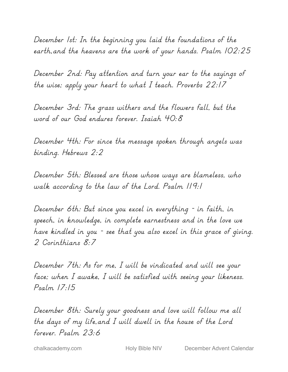December 1st: In the beginning you laid the foundations of the earth,and the heavens are the work of your hands. Psalm 102:25

December 2nd: Pay attention and turn your ear to the sayings of the wise; apply your heart to what I teach. Proverbs 22:17

December 3rd: The grass withers and the flowers fall, but the word of our God endures forever. Isaiah 40:8

December 4th: For since the message spoken through angels was binding. Hebrews 2:2

December 5th: Blessed are those whose ways are blameless, who walk according to the law of the Lord. Psalm 119:1

December 6th: But since you excel in everything - in faith, in speech, in knowledge, in complete earnestness and in the love we have kindled in you - see that you also excel in this grace of giving. 2 Corinthians 8:7

December 7th: As for me, I will be vindicated and will see your face; when I awake, I will be satisfied with seeing your likeness. Psalm 17:15

December 8th: Surely your goodness and love will follow me all the days of my life,and I will dwell in the house of the Lord forever. Psalm 23:6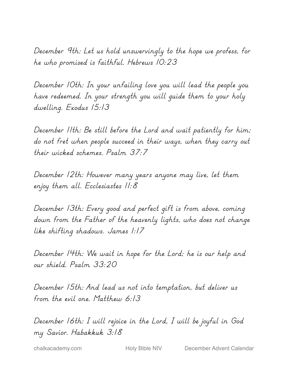December 9th: Let us hold unswervingly to the hope we profess, for he who promised is faithful. Hebrews 10:23

December 10th: In your unfailing love you will lead the people you have redeemed. In your strength you will guide them to your holy dwelling. Exodus 15:13

December 11th: Be still before the Lord and wait patiently for him; do not fret when people succeed in their ways, when they carry out their wicked schemes. Psalm 37:7

December 12th: However many years anyone may live, let them enjoy them all. Ecclesiastes 11:8

December 13th: Every good and perfect gift is from above, coming down from the Father of the heavenly lights, who does not change like shifting shadows. James 1:17

December 14th: We wait in hope for the Lord; he is our help and our shield. Psalm 33:20

December 15th: And lead us not into temptation, but deliver us from the evil one. Matthew 6:13

December 16th: I will rejoice in the Lord, I will be joyful in God my Savior. Habakkuk 3:18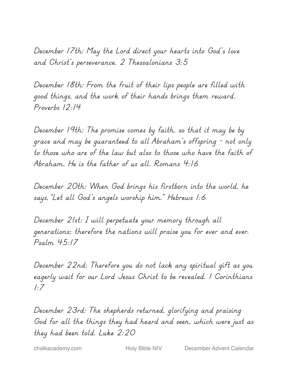December 17th: May the Lord direct your hearts into God's love and Christ's perseverance. 2 Thessalonians 3:5

December 18th: From the fruit of their lips people are filled with good things, and the work of their hands brings them reward. Proverbs 12:14

December 19th: The promise comes by faith, so that it may be by grace and may be guaranteed to all Abraham's offspring - not only to those who are of the law but also to those who have the faith of Abraham. He is the father of us all. Romans 4:16

December 20th: When God brings his firstborn into the world, he says,"Let all God's angels worship him." Hebrews 1:6

December 21st: I will perpetuate your memory through all generations; therefore the nations will praise you for ever and ever. Psalm 45:17

December 22nd: Therefore you do not lack any spiritual gift as you eagerly wait for our Lord Jesus Christ to be revealed. 1 Corinthians 1:7

December 23rd: The shepherds returned, glorifying and praising God for all the things they had heard and seen, which were just as they had been told. Luke 2:20